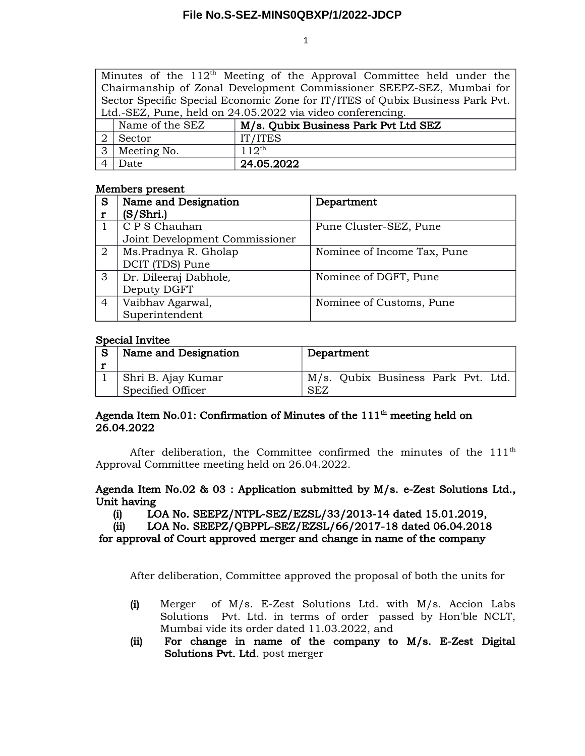1

Minutes of the  $112<sup>th</sup>$  Meeting of the Approval Committee held under the Chairmanship of Zonal Development Commissioner SEEPZ-SEZ, Mumbai for Sector Specific Special Economic Zone for IT/ITES of Qubix Business Park Pvt. Ltd.-SEZ, Pune, held on 24.05.2022 via video conferencing.

| Name of the SEZ | M/s. Qubix Business Park Pvt Ltd SEZ |
|-----------------|--------------------------------------|
| Sector          | IT/ITES                              |
| Meeting No.     | 11 $2^{\text{th}}$                   |
| )ate            | 24.05.2022                           |

#### Members present

| S              | Name and Designation           | Department                  |
|----------------|--------------------------------|-----------------------------|
|                | (S/Shri.)                      |                             |
|                | C P S Chauhan                  | Pune Cluster-SEZ, Pune      |
|                | Joint Development Commissioner |                             |
| $\overline{2}$ | Ms.Pradnya R. Gholap           | Nominee of Income Tax, Pune |
|                | DCIT (TDS) Pune                |                             |
| 3              | Dr. Dileeraj Dabhole,          | Nominee of DGFT, Pune       |
|                | Deputy DGFT                    |                             |
| 4              | Vaibhav Agarwal,               | Nominee of Customs, Pune    |
|                | Superintendent                 |                             |

#### Special Invitee

| Name and Designation | Department                         |
|----------------------|------------------------------------|
| Shri B. Ajay Kumar   | M/s. Qubix Business Park Pvt. Ltd. |
| Specified Officer    | <b>SEZ</b>                         |

# Agenda Item No.01: Confirmation of Minutes of the  $111<sup>th</sup>$  meeting held on 26.04.2022

After deliberation, the Committee confirmed the minutes of the 111<sup>th</sup> Approval Committee meeting held on 26.04.2022.

### Agenda Item No.02 & 03 : Application submitted by M/s. e-Zest Solutions Ltd., Unit having

(i) LOA No. SEEPZ/NTPL-SEZ/EZSL/33/2013-14 dated 15.01.2019,

(ii) LOA No. SEEPZ/QBPPL-SEZ/EZSL/66/2017-18 dated 06.04.2018 for approval of Court approved merger and change in name of the company

After deliberation, Committee approved the proposal of both the units for

- (i) Merger of M/s. E-Zest Solutions Ltd. with M/s. Accion Labs Solutions Pvt. Ltd. in terms of order passed by Hon'ble NCLT, Mumbai vide its order dated 11.03.2022, and
- (ii) For change in name of the company to M/s. E-Zest Digital Solutions Pvt. Ltd. post merger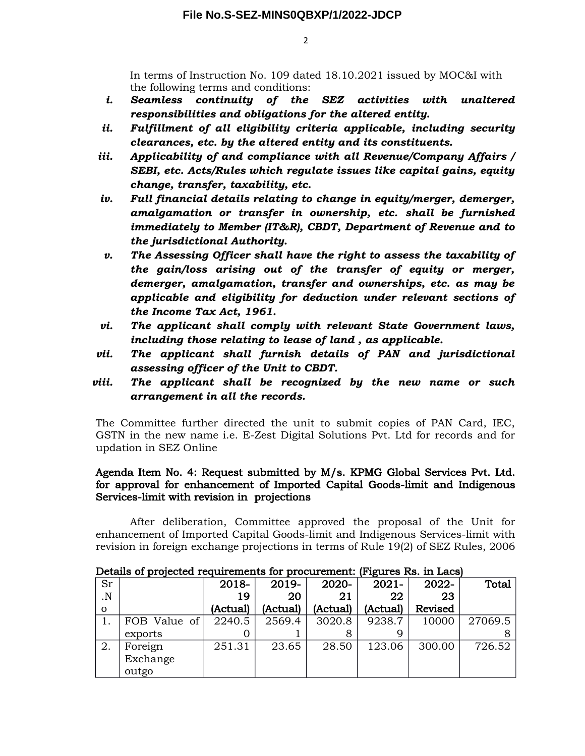2

In terms of Instruction No. 109 dated 18.10.2021 issued by MOC&I with the following terms and conditions:

- *i. Seamless continuity of the SEZ activities with unaltered responsibilities and obligations for the altered entity.*
- *ii. Fulfillment of all eligibility criteria applicable, including security clearances, etc. by the altered entity and its constituents.*
- *iii. Applicability of and compliance with all Revenue/Company Affairs / SEBI, etc. Acts/Rules which regulate issues like capital gains, equity change, transfer, taxability, etc.*
- *iv. Full financial details relating to change in equity/merger, demerger, amalgamation or transfer in ownership, etc. shall be furnished immediately to Member (IT&R), CBDT, Department of Revenue and to the jurisdictional Authority.*
- *v. The Assessing Officer shall have the right to assess the taxability of the gain/loss arising out of the transfer of equity or merger, demerger, amalgamation, transfer and ownerships, etc. as may be applicable and eligibility for deduction under relevant sections of the Income Tax Act, 1961.*
- *vi. The applicant shall comply with relevant State Government laws, including those relating to lease of land , as applicable.*
- *vii. The applicant shall furnish details of PAN and jurisdictional assessing officer of the Unit to CBDT.*
- *viii. The applicant shall be recognized by the new name or such arrangement in all the records.*

The Committee further directed the unit to submit copies of PAN Card, IEC, GSTN in the new name i.e. E-Zest Digital Solutions Pvt. Ltd for records and for updation in SEZ Online

### Agenda Item No. 4: Request submitted by M/s. KPMG Global Services Pvt. Ltd. for approval for enhancement of Imported Capital Goods-limit and Indigenous Services-limit with revision in projections

After deliberation, Committee approved the proposal of the Unit for enhancement of Imported Capital Goods-limit and Indigenous Services-limit with revision in foreign exchange projections in terms of Rule 19(2) of SEZ Rules, 2006

| Details of projected requirements for procurement. Trigures Rs. In Dacs, |              |          |          |          |          |         |         |
|--------------------------------------------------------------------------|--------------|----------|----------|----------|----------|---------|---------|
| Sr                                                                       |              | 2018-    | 2019-    | 2020-    | $2021 -$ | 2022-   | Total   |
| $\overline{\mathbf{N}}$                                                  |              | 19       | 20       | 21       | 22       | 23      |         |
| $\Omega$                                                                 |              | (Actual) | (Actual) | (Actual) | (Actual) | Revised |         |
|                                                                          | FOB Value of | 2240.5   | 2569.4   | 3020.8   | 9238.7   | 10000   | 27069.5 |
|                                                                          | exports      |          |          |          |          |         |         |
| 2.                                                                       | Foreign      | 251.31   | 23.65    | 28.50    | 123.06   | 300.00  | 726.52  |
|                                                                          | Exchange     |          |          |          |          |         |         |
|                                                                          | outgo        |          |          |          |          |         |         |

Details of projected requirements for procurement: (Figures Rs. in Lacs)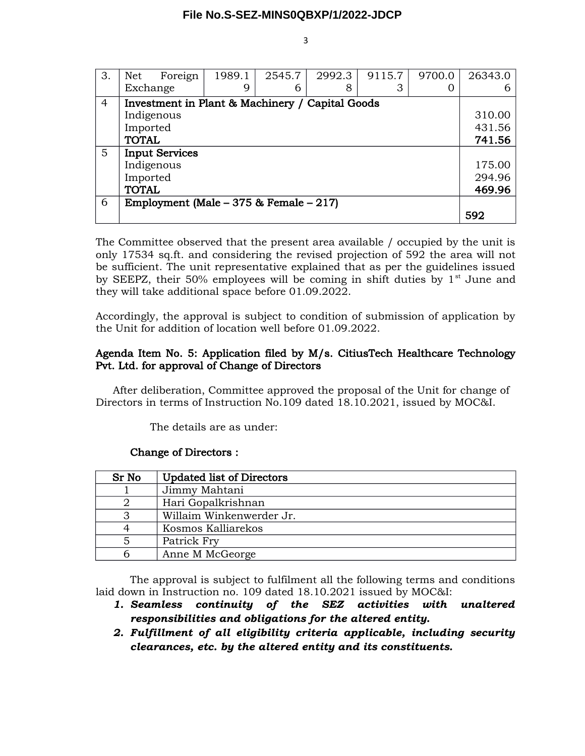| 3.             | Net                                             | Foreign                                   | 1989.1 | 2545.7 | 2992.3 | 9115.7 | 9700.0 | 26343.0 |
|----------------|-------------------------------------------------|-------------------------------------------|--------|--------|--------|--------|--------|---------|
|                | Exchange                                        |                                           | 9      | 6      | 8      | 3      |        |         |
| $\overline{4}$ | Investment in Plant & Machinery / Capital Goods |                                           |        |        |        |        |        |         |
|                |                                                 | Indigenous                                |        |        |        |        |        | 310.00  |
|                | Imported                                        |                                           |        |        | 431.56 |        |        |         |
|                | <b>TOTAL</b>                                    |                                           |        |        | 741.56 |        |        |         |
| 5              | <b>Input Services</b>                           |                                           |        |        |        |        |        |         |
|                | Indigenous                                      |                                           |        | 175.00 |        |        |        |         |
|                | Imported                                        |                                           |        | 294.96 |        |        |        |         |
|                | <b>TOTAL</b>                                    |                                           |        |        |        |        |        | 469.96  |
| 6              |                                                 | Employment (Male $-375$ & Female $-217$ ) |        |        |        |        |        |         |
|                |                                                 |                                           |        |        |        |        |        | 592     |

The Committee observed that the present area available / occupied by the unit is only 17534 sq.ft. and considering the revised projection of 592 the area will not be sufficient. The unit representative explained that as per the guidelines issued by SEEPZ, their 50% employees will be coming in shift duties by  $1<sup>st</sup>$  June and they will take additional space before 01.09.2022.

Accordingly, the approval is subject to condition of submission of application by the Unit for addition of location well before 01.09.2022.

# Agenda Item No. 5: Application filed by M/s. CitiusTech Healthcare Technology Pvt. Ltd. for approval of Change of Directors

After deliberation, Committee approved the proposal of the Unit for change of Directors in terms of Instruction No.109 dated 18.10.2021, issued by MOC&I.

The details are as under:

## Change of Directors :

| Sr No | <b>Updated list of Directors</b> |  |  |
|-------|----------------------------------|--|--|
|       | Jimmy Mahtani                    |  |  |
|       | Hari Gopalkrishnan               |  |  |
|       | Willaim Winkenwerder Jr.         |  |  |
|       | Kosmos Kalliarekos               |  |  |
|       | Patrick Fry                      |  |  |
|       | Anne M McGeorge                  |  |  |

The approval is subject to fulfilment all the following terms and conditions laid down in Instruction no. 109 dated 18.10.2021 issued by MOC&I:

- *1. Seamless continuity of the SEZ activities with unaltered responsibilities and obligations for the altered entity.*
- *2. Fulfillment of all eligibility criteria applicable, including security clearances, etc. by the altered entity and its constituents.*